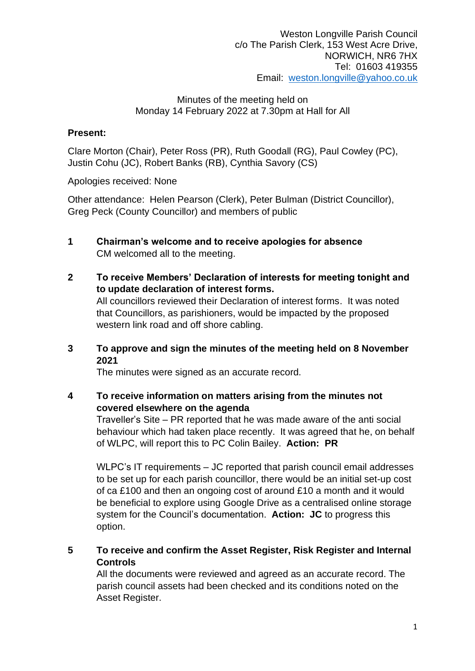## **Present:**

Clare Morton (Chair), Peter Ross (PR), Ruth Goodall (RG), Paul Cowley (PC), Justin Cohu (JC), Robert Banks (RB), Cynthia Savory (CS)

Apologies received: None

Other attendance: Helen Pearson (Clerk), Peter Bulman (District Councillor), Greg Peck (County Councillor) and members of public

- **1 Chairman's welcome and to receive apologies for absence** CM welcomed all to the meeting.
- **2 To receive Members' Declaration of interests for meeting tonight and to update declaration of interest forms.** All councillors reviewed their Declaration of interest forms. It was noted that Councillors, as parishioners, would be impacted by the proposed western link road and off shore cabling.
- **3 To approve and sign the minutes of the meeting held on 8 November 2021**

The minutes were signed as an accurate record.

**4 To receive information on matters arising from the minutes not covered elsewhere on the agenda**

Traveller's Site – PR reported that he was made aware of the anti social behaviour which had taken place recently. It was agreed that he, on behalf of WLPC, will report this to PC Colin Bailey. **Action: PR**

WLPC's IT requirements – JC reported that parish council email addresses to be set up for each parish councillor, there would be an initial set-up cost of ca £100 and then an ongoing cost of around £10 a month and it would be beneficial to explore using Google Drive as a centralised online storage system for the Council's documentation. **Action: JC** to progress this option.

**5 To receive and confirm the Asset Register, Risk Register and Internal Controls**

All the documents were reviewed and agreed as an accurate record. The parish council assets had been checked and its conditions noted on the Asset Register.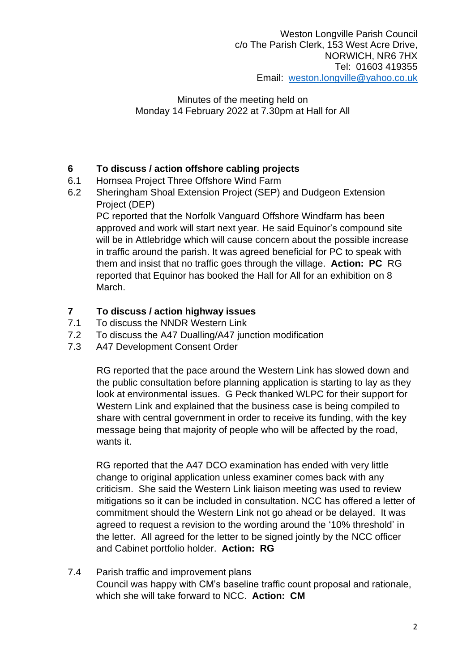# **6 To discuss / action offshore cabling projects**

- 6.1 Hornsea Project Three Offshore Wind Farm
- 6.2 Sheringham Shoal Extension Project (SEP) and Dudgeon Extension Project (DEP)

PC reported that the Norfolk Vanguard Offshore Windfarm has been approved and work will start next year. He said Equinor's compound site will be in Attlebridge which will cause concern about the possible increase in traffic around the parish. It was agreed beneficial for PC to speak with them and insist that no traffic goes through the village. **Action: PC** RG reported that Equinor has booked the Hall for All for an exhibition on 8 March.

# **7 To discuss / action highway issues**

- 7.1 To discuss the NNDR Western Link
- 7.2 To discuss the A47 Dualling/A47 junction modification
- 7.3 A47 Development Consent Order

RG reported that the pace around the Western Link has slowed down and the public consultation before planning application is starting to lay as they look at environmental issues. G Peck thanked WLPC for their support for Western Link and explained that the business case is being compiled to share with central government in order to receive its funding, with the key message being that majority of people who will be affected by the road, wants it.

RG reported that the A47 DCO examination has ended with very little change to original application unless examiner comes back with any criticism. She said the Western Link liaison meeting was used to review mitigations so it can be included in consultation. NCC has offered a letter of commitment should the Western Link not go ahead or be delayed. It was agreed to request a revision to the wording around the '10% threshold' in the letter. All agreed for the letter to be signed jointly by the NCC officer and Cabinet portfolio holder. **Action: RG**

7.4 Parish traffic and improvement plans Council was happy with CM's baseline traffic count proposal and rationale, which she will take forward to NCC. **Action: CM**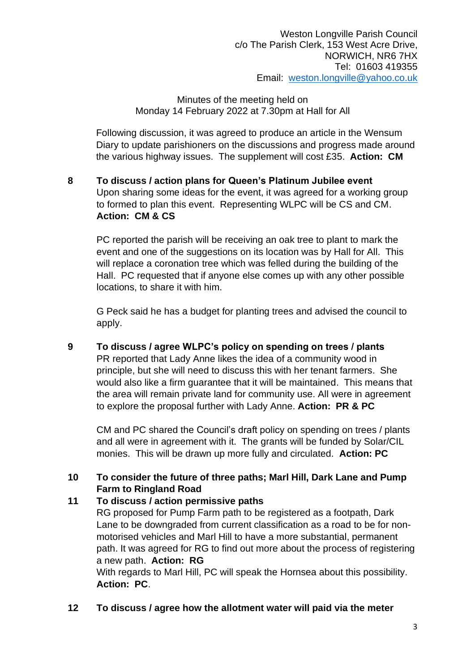Following discussion, it was agreed to produce an article in the Wensum Diary to update parishioners on the discussions and progress made around the various highway issues. The supplement will cost £35. **Action: CM**

**8 To discuss / action plans for Queen's Platinum Jubilee event** Upon sharing some ideas for the event, it was agreed for a working group to formed to plan this event. Representing WLPC will be CS and CM. **Action: CM & CS**

PC reported the parish will be receiving an oak tree to plant to mark the event and one of the suggestions on its location was by Hall for All. This will replace a coronation tree which was felled during the building of the Hall. PC requested that if anyone else comes up with any other possible locations, to share it with him.

G Peck said he has a budget for planting trees and advised the council to apply.

**9 To discuss / agree WLPC's policy on spending on trees / plants** PR reported that Lady Anne likes the idea of a community wood in principle, but she will need to discuss this with her tenant farmers. She would also like a firm guarantee that it will be maintained. This means that the area will remain private land for community use. All were in agreement to explore the proposal further with Lady Anne. **Action: PR & PC**

CM and PC shared the Council's draft policy on spending on trees / plants and all were in agreement with it. The grants will be funded by Solar/CIL monies. This will be drawn up more fully and circulated. **Action: PC**

## **10 To consider the future of three paths; Marl Hill, Dark Lane and Pump Farm to Ringland Road**

## **11 To discuss / action permissive paths**

RG proposed for Pump Farm path to be registered as a footpath, Dark Lane to be downgraded from current classification as a road to be for nonmotorised vehicles and Marl Hill to have a more substantial, permanent path. It was agreed for RG to find out more about the process of registering a new path. **Action: RG**

With regards to Marl Hill, PC will speak the Hornsea about this possibility. **Action: PC**.

# **12 To discuss / agree how the allotment water will paid via the meter**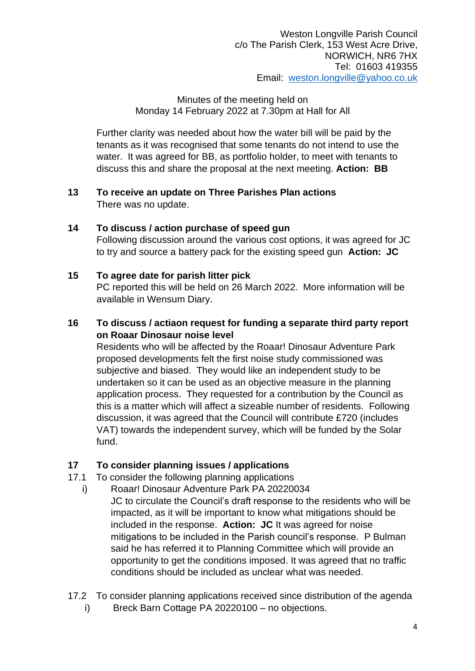Further clarity was needed about how the water bill will be paid by the tenants as it was recognised that some tenants do not intend to use the water. It was agreed for BB, as portfolio holder, to meet with tenants to discuss this and share the proposal at the next meeting. **Action: BB**

## **13 To receive an update on Three Parishes Plan actions** There was no update.

## **14 To discuss / action purchase of speed gun**

Following discussion around the various cost options, it was agreed for JC to try and source a battery pack for the existing speed gun **Action: JC**

## **15 To agree date for parish litter pick**

PC reported this will be held on 26 March 2022. More information will be available in Wensum Diary.

## **16 To discuss / actiaon request for funding a separate third party report on Roaar Dinosaur noise level**

Residents who will be affected by the Roaar! Dinosaur Adventure Park proposed developments felt the first noise study commissioned was subjective and biased. They would like an independent study to be undertaken so it can be used as an objective measure in the planning application process. They requested for a contribution by the Council as this is a matter which will affect a sizeable number of residents. Following discussion, it was agreed that the Council will contribute £720 (includes VAT) towards the independent survey, which will be funded by the Solar fund.

# **17 To consider planning issues / applications**

- 17.1 To consider the following planning applications
	- i) Roaar! Dinosaur Adventure Park PA 20220034
		- JC to circulate the Council's draft response to the residents who will be impacted, as it will be important to know what mitigations should be included in the response. **Action: JC** It was agreed for noise mitigations to be included in the Parish council's response. P Bulman said he has referred it to Planning Committee which will provide an opportunity to get the conditions imposed. It was agreed that no traffic conditions should be included as unclear what was needed.
- 17.2 To consider planning applications received since distribution of the agenda
	- i) Breck Barn Cottage PA 20220100 no objections.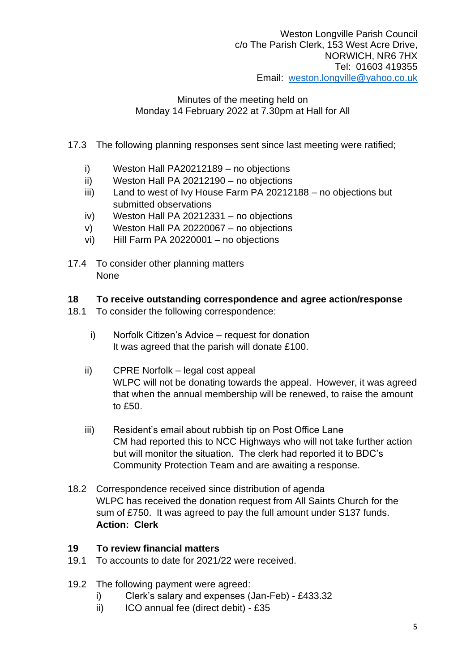- 17.3 The following planning responses sent since last meeting were ratified;
	- i) Weston Hall PA20212189 no objections
	- ii) Weston Hall PA 20212190 no objections
	- iii) Land to west of Ivy House Farm PA 20212188 no objections but submitted observations
	- iv) Weston Hall PA 20212331 no objections
	- v) Weston Hall PA 20220067 no objections
	- vi) Hill Farm PA 20220001 no objections
- 17.4 To consider other planning matters None

#### **18 To receive outstanding correspondence and agree action/response**

- 18.1 To consider the following correspondence:
	- i) Norfolk Citizen's Advice request for donation It was agreed that the parish will donate £100.
	- ii) CPRE Norfolk legal cost appeal WLPC will not be donating towards the appeal. However, it was agreed that when the annual membership will be renewed, to raise the amount to £50.
	- iii) Resident's email about rubbish tip on Post Office Lane CM had reported this to NCC Highways who will not take further action but will monitor the situation. The clerk had reported it to BDC's Community Protection Team and are awaiting a response.
- 18.2 Correspondence received since distribution of agenda WLPC has received the donation request from All Saints Church for the sum of £750. It was agreed to pay the full amount under S137 funds. **Action: Clerk**

#### **19 To review financial matters**

- 19.1 To accounts to date for 2021/22 were received.
- 19.2 The following payment were agreed:
	- i) Clerk's salary and expenses (Jan-Feb) £433.32
	- ii) ICO annual fee (direct debit) £35